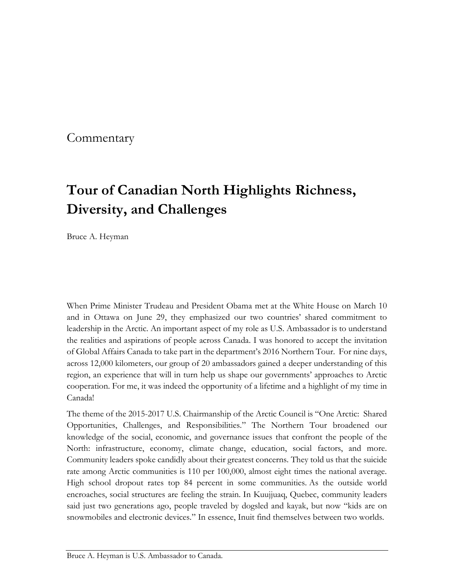## Commentary

## **Tour of Canadian North Highlights Richness, Diversity, and Challenges**

Bruce A. Heyman

When Prime Minister Trudeau and President Obama met at the White House on March 10 and in Ottawa on June 29, they emphasized our two countries' shared commitment to leadership in the Arctic. An important aspect of my role as U.S. Ambassador is to understand the realities and aspirations of people across Canada. I was honored to accept the invitation of Global Affairs Canada to take part in the department's 2016 Northern Tour. For nine days, across 12,000 kilometers, our group of 20 ambassadors gained a deeper understanding of this region, an experience that will in turn help us shape our governments' approaches to Arctic cooperation. For me, it was indeed the opportunity of a lifetime and a highlight of my time in Canada!

The theme of the 2015-2017 U.S. Chairmanship of the Arctic Council is "One Arctic: Shared Opportunities, Challenges, and Responsibilities." The Northern Tour broadened our knowledge of the social, economic, and governance issues that confront the people of the North: infrastructure, economy, climate change, education, social factors, and more. Community leaders spoke candidly about their greatest concerns. They told us that the suicide rate among Arctic communities is 110 per 100,000, almost eight times the national average. High school dropout rates top 84 percent in some communities. As the outside world encroaches, social structures are feeling the strain. In Kuujjuaq, Quebec, community leaders said just two generations ago, people traveled by dogsled and kayak, but now "kids are on snowmobiles and electronic devices." In essence, Inuit find themselves between two worlds.